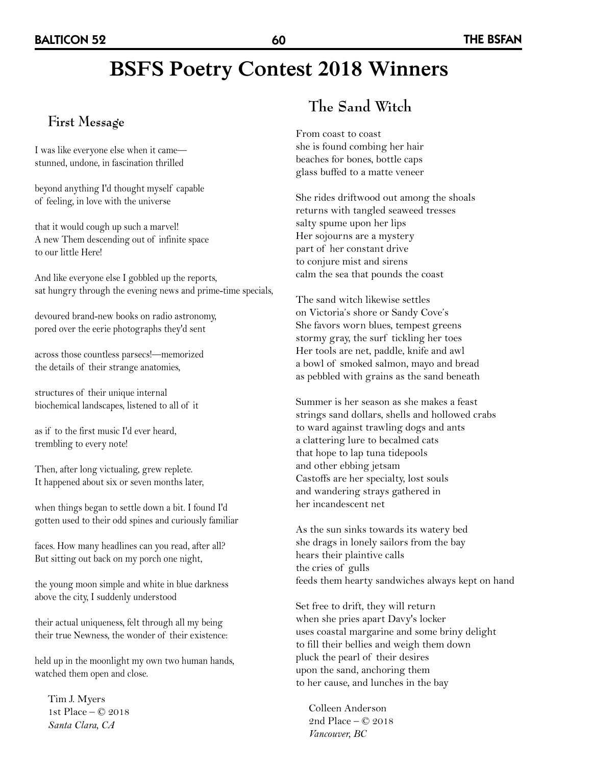# **BSFS Poetry Contest 2018 Winners**

#### **First Message**

I was like everyone else when it came stunned, undone, in fascination thrilled

beyond anything I'd thought myself capable of feeling, in love with the universe

that it would cough up such a marvel! A new Them descending out of infinite space to our little Here!

And like everyone else I gobbled up the reports, sat hungry through the evening news and prime-time specials,

devoured brand-new books on radio astronomy, pored over the eerie photographs they'd sent

across those countless parsecs!—memorized the details of their strange anatomies,

structures of their unique internal biochemical landscapes, listened to all of it

as if to the first music I'd ever heard, trembling to every note!

Then, after long victualing, grew replete. It happened about six or seven months later,

when things began to settle down a bit. I found I'd gotten used to their odd spines and curiously familiar

faces. How many headlines can you read, after all? But sitting out back on my porch one night,

the young moon simple and white in blue darkness above the city, I suddenly understood

their actual uniqueness, felt through all my being their true Newness, the wonder of their existence:

held up in the moonlight my own two human hands, watched them open and close.

Tim J. Myers 1st Place – © 2018 *Santa Clara, CA*

## **The Sand Witch**

From coast to coast she is found combing her hair beaches for bones, bottle caps glass buffed to a matte veneer

She rides driftwood out among the shoals returns with tangled seaweed tresses salty spume upon her lips Her sojourns are a mystery part of her constant drive to conjure mist and sirens calm the sea that pounds the coast

The sand witch likewise settles on Victoria's shore or Sandy Cove's She favors worn blues, tempest greens stormy gray, the surf tickling her toes Her tools are net, paddle, knife and awl a bowl of smoked salmon, mayo and bread as pebbled with grains as the sand beneath

Summer is her season as she makes a feast strings sand dollars, shells and hollowed crabs to ward against trawling dogs and ants a clattering lure to becalmed cats that hope to lap tuna tidepools and other ebbing jetsam Castoffs are her specialty, lost souls and wandering strays gathered in her incandescent net

As the sun sinks towards its watery bed she drags in lonely sailors from the bay hears their plaintive calls the cries of gulls feeds them hearty sandwiches always kept on hand

Set free to drift, they will return when she pries apart Davy's locker uses coastal margarine and some briny delight to fill their bellies and weigh them down pluck the pearl of their desires upon the sand, anchoring them to her cause, and lunches in the bay

Colleen Anderson 2nd Place – © 2018 *Vancouver, BC*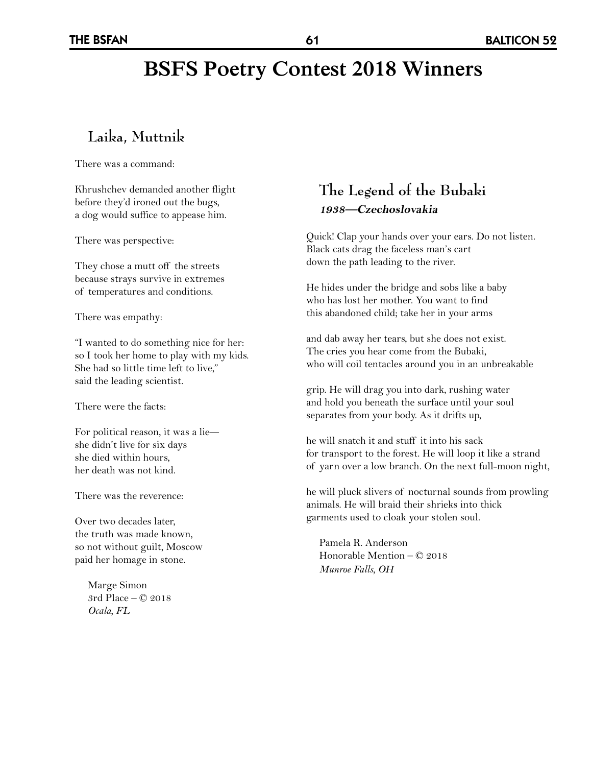# **BSFS Poetry Contest 2018 Winners**

### **Laika, Muttnik**

There was a command:

Khrushchev demanded another flight before they'd ironed out the bugs, a dog would suffice to appease him.

There was perspective:

They chose a mutt off the streets because strays survive in extremes of temperatures and conditions.

There was empathy:

"I wanted to do something nice for her: so I took her home to play with my kids. She had so little time left to live," said the leading scientist.

There were the facts:

For political reason, it was a lie she didn't live for six days she died within hours, her death was not kind.

There was the reverence:

Over two decades later, the truth was made known, so not without guilt, Moscow paid her homage in stone.

> Marge Simon 3rd Place – © 2018 *Ocala, FL*

#### **The Legend of the Bubaki 1938—Czechoslovakia**

Quick! Clap your hands over your ears. Do not listen. Black cats drag the faceless man's cart down the path leading to the river.

He hides under the bridge and sobs like a baby who has lost her mother. You want to find this abandoned child; take her in your arms

and dab away her tears, but she does not exist. The cries you hear come from the Bubaki, who will coil tentacles around you in an unbreakable

grip. He will drag you into dark, rushing water and hold you beneath the surface until your soul separates from your body. As it drifts up,

he will snatch it and stuff it into his sack for transport to the forest. He will loop it like a strand of yarn over a low branch. On the next full-moon night,

he will pluck slivers of nocturnal sounds from prowling animals. He will braid their shrieks into thick garments used to cloak your stolen soul.

Pamela R. Anderson Honorable Mention – © 2018 *Munroe Falls, OH*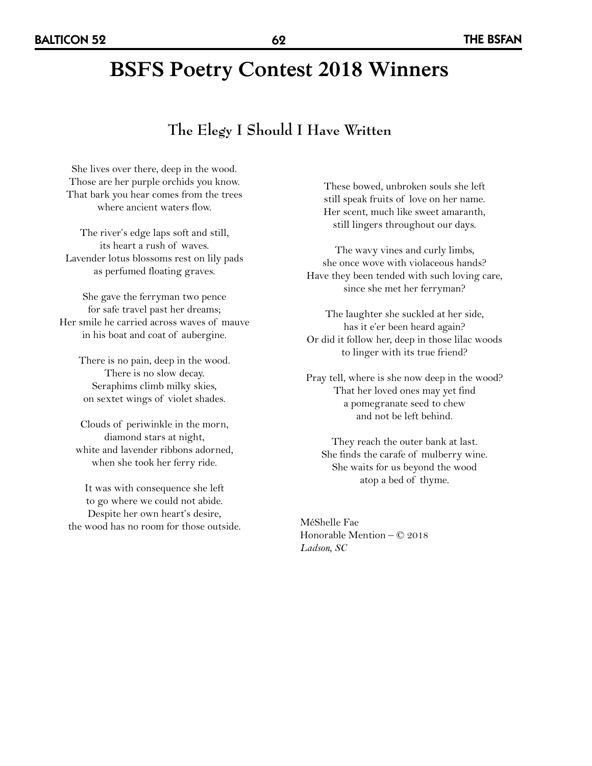# **BSFS Poetry Contest 2018 Winners**

#### **The Elegy I Should I Have Written**

She lives over there, deep in the wood. Those are her purple orchids you know. That bark you hear comes from the trees where ancient waters flow.

The river's edge laps soft and still, its heart a rush of waves. Lavender lotus blossoms rest on lily pads as perfumed floating graves.

She gave the ferryman two pence for safe travel past her dreams; Her smile he carried across waves of mauve in his boat and coat of aubergine.

> There is no pain, deep in the wood. There is no slow decay. Seraphims climb milky skies, on sextet wings of violet shades.

Clouds of periwinkle in the morn, diamond stars at night, white and lavender ribbons adorned, when she took her ferry ride.

It was with consequence she left to go where we could not abide. Despite her own heart's desire, the wood has no room for those outside. These bowed, unbroken souls she left still speak fruits of love on her name. Her scent, much like sweet amaranth, still lingers throughout our days.

The wavy vines and curly limbs, she once wove with violaceous hands? Have they been tended with such loving care, since she met her ferryman?

The laughter she suckled at her side, has it e'er been heard again? Or did it follow her, deep in those lilac woods to linger with its true friend?

Pray tell, where is she now deep in the wood? That her loved ones may yet find a pomegranate seed to chew and not be left behind.

They reach the outer bank at last. She finds the carafe of mulberry wine. She waits for us beyond the wood atop a bed of thyme.

MéShelle Fae Honorable Mention – © 2018 *Ladson, SC*